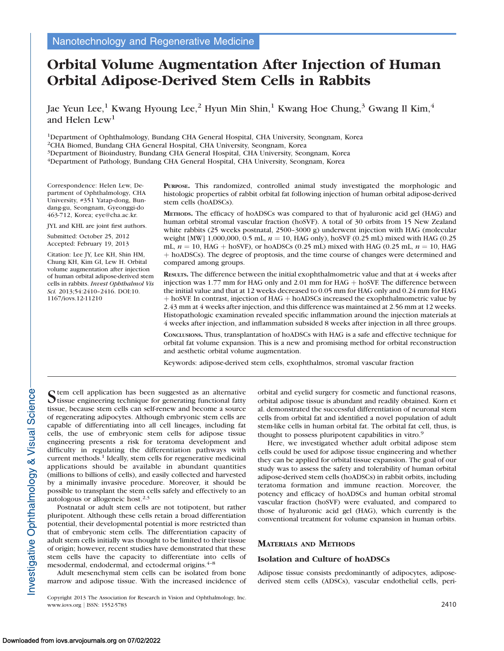# Orbital Volume Augmentation After Injection of Human Orbital Adipose-Derived Stem Cells in Rabbits

Jae Yeun Lee,<sup>1</sup> Kwang Hyoung Lee,<sup>2</sup> Hyun Min Shin,<sup>1</sup> Kwang Hoe Chung,<sup>3</sup> Gwang Il Kim,<sup>4</sup> and Helen Lew<sup>1</sup>

1Department of Ophthalmology, Bundang CHA General Hospital, CHA University, Seongnam, Korea

2CHA Biomed, Bundang CHA General Hospital, CHA University, Seongnam, Korea

3Department of Bioindustry, Bundang CHA General Hospital, CHA University, Seongnam, Korea

4Department of Pathology, Bundang CHA General Hospital, CHA University, Seongnam, Korea

Correspondence: Helen Lew, Department of Ophthalmology, CHA University, #351 Yatap-dong, Bundang-gu, Seongnam, Gyeonggi-do 463-712, Korea; eye@cha.ac.kr.

JYL and KHL are joint first authors.

Submitted: October 25, 2012 Accepted: February 19, 2013

Citation: Lee JY, Lee KH, Shin HM, Chung KH, Kim GI, Lew H. Orbital volume augmentation after injection of human orbital adipose-derived stem cells in rabbits. Invest Ophthalmol Vis Sci. 2013;54:2410–2416. DOI:10. 1167/iovs.12-11210

PURPOSE. This randomized, controlled animal study investigated the morphologic and histologic properties of rabbit orbital fat following injection of human orbital adipose-derived stem cells (hoADSCs).

METHODS. The efficacy of hoADSCs was compared to that of hyaluronic acid gel (HAG) and human orbital stromal vascular fraction (hoSVF). A total of 30 orbits from 15 New Zealand white rabbits (25 weeks postnatal, 2500–3000 g) underwent injection with HAG (molecular weight [MW]  $1,000,000, 0.5$  mL,  $n = 10$ , HAG only), hoSVF (0.25 mL) mixed with HAG (0.25 mL,  $n = 10$ , HAG  $+$  hoSVF), or hoADSCs (0.25 mL) mixed with HAG (0.25 mL,  $n = 10$ , HAG þ hoADSCs). The degree of proptosis, and the time course of changes were determined and compared among groups.

RESULTS. The difference between the initial exophthalmometric value and that at 4 weeks after injection was  $1.77$  mm for HAG only and  $2.01$  mm for HAG  $+$  hoSVF. The difference between the initial value and that at 12 weeks decreased to 0.05 mm for HAG only and 0.24 mm for HAG  $+$  hoSVF. In contrast, injection of HAG  $+$  hoADSCs increased the exophthalmometric value by 2.43 mm at 4 weeks after injection, and this difference was maintained at 2.56 mm at 12 weeks. Histopathologic examination revealed specific inflammation around the injection materials at 4 weeks after injection, and inflammation subsided 8 weeks after injection in all three groups.

CONCLUSIONS. Thus, transplantation of hoADSCs with HAG is a safe and effective technique for orbital fat volume expansion. This is a new and promising method for orbital reconstruction and aesthetic orbital volume augmentation.

Keywords: adipose-derived stem cells, exophthalmos, stromal vascular fraction

Stem cell application has been suggested as an alternative<br>stissue engineering technique for generating functional fatty tissue, because stem cells can self-renew and become a source of regenerating adipocytes. Although embryonic stem cells are capable of differentiating into all cell lineages, including fat cells, the use of embryonic stem cells for adipose tissue engineering presents a risk for teratoma development and difficulty in regulating the differentiation pathways with current methods.<sup>1</sup> Ideally, stem cells for regenerative medicinal applications should be available in abundant quantities (millions to billions of cells), and easily collected and harvested by a minimally invasive procedure. Moreover, it should be possible to transplant the stem cells safely and effectively to an autologous or allogeneic host. $2,3$ 

Postnatal or adult stem cells are not totipotent, but rather pluripotent. Although these cells retain a broad differentiation potential, their developmental potential is more restricted than that of embryonic stem cells. The differentiation capacity of adult stem cells initially was thought to be limited to their tissue of origin; however, recent studies have demonstrated that these stem cells have the capacity to differentiate into cells of mesodermal, endodermal, and ectodermal origins.<sup>4-8</sup>

Adult mesenchymal stem cells can be isolated from bone marrow and adipose tissue. With the increased incidence of orbital and eyelid surgery for cosmetic and functional reasons, orbital adipose tissue is abundant and readily obtained. Korn et al. demonstrated the successful differentiation of neuronal stem cells from orbital fat and identified a novel population of adult stem-like cells in human orbital fat. The orbital fat cell, thus, is thought to possess pluripotent capabilities in vitro.<sup>9</sup>

Here, we investigated whether adult orbital adipose stem cells could be used for adipose tissue engineering and whether they can be applied for orbital tissue expansion. The goal of our study was to assess the safety and tolerability of human orbital adipose-derived stem cells (hoADSCs) in rabbit orbits, including teratoma formation and immune reaction. Moreover, the potency and efficacy of hoADSCs and human orbital stromal vascular fraction (hoSVF) were evaluated, and compared to those of hyaluronic acid gel (HAG), which currently is the conventional treatment for volume expansion in human orbits.

## MATERIALS AND METHODS

## Isolation and Culture of hoADSCs

Adipose tissue consists predominantly of adipocytes, adiposederived stem cells (ADSCs), vascular endothelial cells, peri-

Copyright 2013 The Association for Research in Vision and Ophthalmology, Inc. www.iovs.org | ISSN: 1552-5783 2410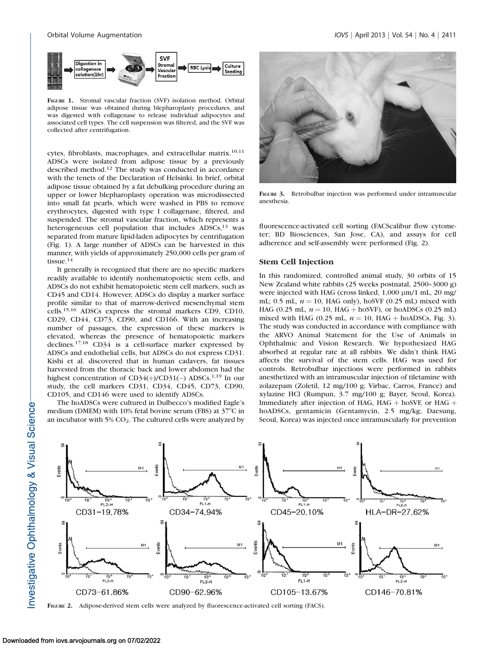

FIGURE 1. Stromal vascular fraction (SVF) isolation method. Orbital adipose tissue was obtained during blepharoplasty procedures, and was digested with collagenase to release individual adipocytes and associated cell types. The cell suspension was filtered, and the SVF was collected after centrifugation.

cytes, fibroblasts, macrophages, and extracellular matrix.<sup>10,11</sup> ADSCs were isolated from adipose tissue by a previously described method.<sup>12</sup> The study was conducted in accordance with the tenets of the Declaration of Helsinki. In brief, orbital adipose tissue obtained by a fat debulking procedure during an upper or lower blepharoplasty operation was microdissected into small fat pearls, which were washed in PBS to remove erythrocytes, digested with type I collagenase, filtered, and suspended. The stromal vascular fraction, which represents a heterogeneous cell population that includes  $ADSCs$ ,<sup>13</sup> was separated from mature lipid-laden adipocytes by centrifugation (Fig. 1). A large number of ADSCs can be harvested in this manner, with yields of approximately 250,000 cells per gram of tissue.<sup>14</sup>

It generally is recognized that there are no specific markers readily available to identify nonhematopoietic stem cells, and ADSCs do not exhibit hematopoietic stem cell markers, such as CD45 and CD14. However, ADSCs do display a marker surface profile similar to that of marrow-derived mesenchymal stem cells.15,16 ADSCs express the stromal markers CD9, CD10, CD29, CD44, CD73, CD90, and CD166. With an increasing number of passages, the expression of these markers is elevated, whereas the presence of hematopoietic markers declines.17,18 CD34 is a cell-surface marker expressed by ADSCs and endothelial cells, but ADSCs do not express CD31. Kishi et al. discovered that in human cadavers, fat tissues harvested from the thoracic back and lower abdomen had the highest concentration of  $CD34(+)/CD31(-)$  ADSCs.<sup>1,19</sup> In our study, the cell markers CD31, CD34, CD45, CD73, CD90, CD105, and CD146 were used to identify ADSCs.

The hoADSCs were cultured in Dulbecco's modified Eagle's medium (DMEM) with 10% fetal bovine serum (FBS) at  $37^{\circ}$ C in an incubator with  $5\%$  CO<sub>2</sub>. The cultured cells were analyzed by



FIGURE 3. Retrobulbar injection was performed under intramuscular anesthesia.

fluorescence-activated cell sorting (FACScalibur flow cytometer; BD Biosciences, San Jose, CA), and assays for cell adherence and self-assembly were performed (Fig. 2).

#### Stem Cell Injection

In this randomized, controlled animal study, 30 orbits of 15 New Zealand white rabbits (25 weeks postnatal, 2500–3000 g) were injected with HAG (cross linked, 1,000  $\mu$ m/1 mL, 20 mg/ mL; 0.5 mL,  $n = 10$ , HAG only), hoSVF (0.25 mL) mixed with HAG (0.25 mL,  $n = 10$ , HAG + hoSVF), or hoADSCs (0.25 mL) mixed with HAG (0.25 mL,  $n = 10$ , HAG + hoADSCs, Fig. 3). The study was conducted in accordance with compliance with the ARVO Animal Statement for the Use of Animals in Ophthalmic and Vision Research. We hypothesized HAG absorbed at regular rate at all rabbits. We didn't think HAG affects the survival of the stem cells. HAG was used for controls. Retrobulbar injections were performed in rabbits anesthetized with an intramuscular injection of tiletamine with zolazepam (Zoletil, 12 mg/100 g; Virbac, Carros, France) and xylazine HCl (Rumpun, 3.7 mg/100 g; Bayer, Seoul, Korea). Immediately after injection of HAG, HAG  $+$  hoSVF, or HAG  $+$ hoADSCs, gentamicin (Gentamycin, 2.5 mg/kg; Daesung, Seoul, Korea) was injected once intramuscularly for prevention



FIGURE 2. Adipose-derived stem cells were analyzed by fluorescence-activated cell sorting (FACS).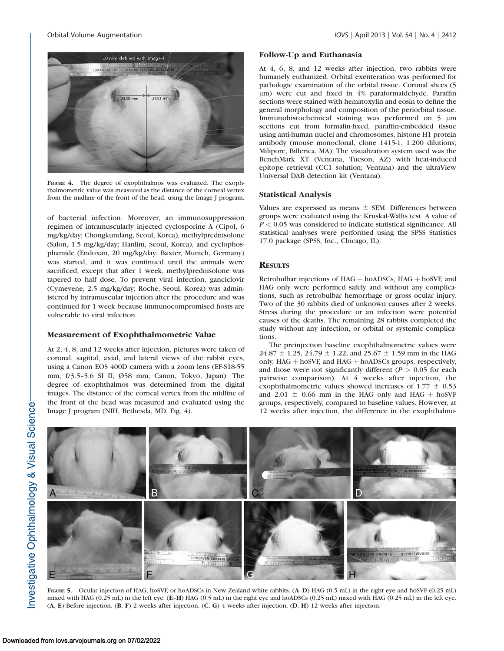

FIGURE 4. The degree of exophthalmos was evaluated. The exophthalmometric value was measured as the distance of the corneal vertex from the midline of the front of the head, using the Image J program.

of bacterial infection. Moreover, an immunosuppression regimen of intramuscularly injected cyclosporine A (Cipol, 6 mg/kg/day; Chongkundang, Seoul, Korea), methylprednisolone (Salon, 1.5 mg/kg/day; Hanlim, Seoul, Korea), and cyclophosphamide (Endoxan, 20 mg/kg/day; Baxter, Munich, Germany) was started, and it was continued until the animals were sacrificed, except that after 1 week, methylprednisolone was tapered to half dose. To prevent viral infection, ganciclovir (Cymevene, 2.5 mg/kg/day; Roche, Seoul, Korea) was administered by intramuscular injection after the procedure and was continued for 1 week because immunocompromised hosts are vulnerable to viral infection.

## Measurement of Exophthalmometric Value

At 2, 4, 8, and 12 weeks after injection, pictures were taken of coronal, sagittal, axial, and lateral views of the rabbit eyes, using a Canon EOS 400D camera with a zoom lens (EF-S18-55 mm, f/3.5–5.6 SI II, Ø58 mm; Canon, Tokyo, Japan). The degree of exophthalmos was determined from the digital images. The distance of the corneal vertex from the midline of the front of the head was measured and evaluated using the Image J program (NIH, Bethesda, MD, Fig. 4).

## Follow-Up and Euthanasia

At 4, 6, 8, and 12 weeks after injection, two rabbits were humanely euthanized. Orbital exenteration was performed for pathologic examination of the orbital tissue. Coronal slices (5 lm) were cut and fixed in 4% paraformaldehyde. Paraffin sections were stained with hematoxylin and eosin to define the general morphology and composition of the periorbital tissue. Immunohistochemical staining was performed on 5 µm sections cut from formalin-fixed, paraffin-embedded tissue using anti-human nuclei and chromosomes, histone H1 protein antibody (mouse monoclonal, clone 1415-1, 1:200 dilutions; Milipore, Billerica, MA). The visualization system used was the BenchMark XT (Ventana, Tucson, AZ) with heat-induced epitope retrieval (CC1 solution; Ventana) and the ultraView Universal DAB detection kit (Ventana).

## Statistical Analysis

Values are expressed as means  $\pm$  SEM. Differences between groups were evaluated using the Kruskal-Wallis test. A value of  $P < 0.05$  was considered to indicate statistical significance. All statistical analyses were performed using the SPSS Statistics 17.0 package (SPSS, Inc., Chicago, IL).

# **RESULTS**

Retrobulbar injections of  $HAG +$  hoADSCs,  $HAG +$  hoSVF, and HAG only were performed safely and without any complications, such as retrobulbar hemorrhage or gross ocular injury. Two of the 30 rabbits died of unknown causes after 2 weeks. Stress during the procedure or an infection were potential causes of the deaths. The remaining 28 rabbits completed the study without any infection, or orbital or systemic complications.

The preinjection baseline exophthalmometric values were  $24.87 \pm 1.25$ ,  $24.79 \pm 1.22$ , and  $25.67 \pm 1.59$  mm in the HAG only,  $HAG +$  hoSVF, and  $HAG +$  hoADSCs groups, respectively, and those were not significantly different ( $P > 0.05$  for each pairwise comparison). At 4 weeks after injection, the exophthalmometric values showed increases of 1.77  $\pm$  0.53 and 2.01  $\pm$  0.66 mm in the HAG only and HAG + hoSVF groups, respectively, compared to baseline values. However, at 12 weeks after injection, the difference in the exophthalmo-



FIGURE 5. Ocular injection of HAG, hoSVF, or hoADSCs in New Zealand white rabbits. (A-D) HAG (0.5 mL) in the right eye and hoSVF (0.25 mL) mixed with HAG (0.25 mL) in the left eye. (E–H) HAG (0.5 mL) in the right eye and hoADSCs (0.25 mL) mixed with HAG (0.25 mL) in the left eye. (A, E) Before injection. (B, F) 2 weeks after injection. (C, G) 4 weeks after injection. (D, H) 12 weeks after injection.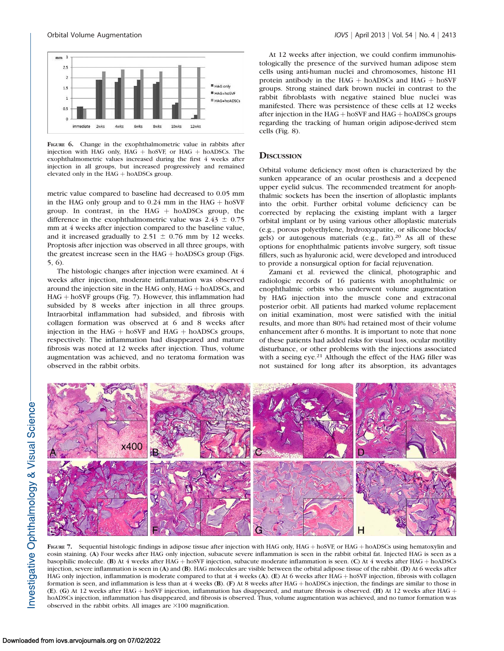

FIGURE 6. Change in the exophthalmometric value in rabbits after injection with HAG only,  $HAG + hoSVF$ , or  $HAG + hOADSCS$ . The exophthalmometric values increased during the first 4 weeks after injection in all groups, but increased progressively and remained elevated only in the  $HAG +$  hoADSCs group.

metric value compared to baseline had decreased to 0.05 mm in the HAG only group and to  $0.24$  mm in the HAG  $+$  hoSVF group. In contrast, in the HAG  $+$  hoADSCs group, the difference in the exophthalmometric value was  $2.43 \pm 0.75$ mm at 4 weeks after injection compared to the baseline value, and it increased gradually to 2.51  $\pm$  0.76 mm by 12 weeks. Proptosis after injection was observed in all three groups, with the greatest increase seen in the  $HAG +$  hoADSCs group (Figs. 5, 6).

The histologic changes after injection were examined. At 4 weeks after injection, moderate inflammation was observed around the injection site in the HAG only,  $HAG +$ hoADSCs, and  $HAG +$  hoSVF groups (Fig. 7). However, this inflammation had subsided by 8 weeks after injection in all three groups. Intraorbital inflammation had subsided, and fibrosis with collagen formation was observed at 6 and 8 weeks after injection in the HAG  $+$  hoSVF and HAG  $+$  hoADSCs groups, respectively. The inflammation had disappeared and mature fibrosis was noted at 12 weeks after injection. Thus, volume augmentation was achieved, and no teratoma formation was observed in the rabbit orbits.

At 12 weeks after injection, we could confirm immunohistologically the presence of the survived human adipose stem cells using anti-human nuclei and chromosomes, histone H1 protein antibody in the HAG  $+$  hoADSCs and HAG  $+$  hoSVF groups. Strong stained dark brown nuclei in contrast to the rabbit fibroblasts with negative stained blue nuclei was manifested. There was persistence of these cells at 12 weeks after injection in the  $HAG +$ hoSVF and  $HAG +$ hoADSCs groups regarding the tracking of human origin adipose-derived stem cells (Fig. 8).

## **DISCUSSION**

Orbital volume deficiency most often is characterized by the sunken appearance of an ocular prosthesis and a deepened upper eyelid sulcus. The recommended treatment for anophthalmic sockets has been the insertion of alloplastic implants into the orbit. Further orbital volume deficiency can be corrected by replacing the existing implant with a larger orbital implant or by using various other alloplastic materials (e.g., porous polyethylene, hydroxyapatite, or silicone blocks/ gels) or autogenous materials (e.g., fat). $20$  As all of these options for enophthalmic patients involve surgery, soft tissue fillers, such as hyaluronic acid, were developed and introduced to provide a nonsurgical option for facial rejuvenation.

Zamani et al. reviewed the clinical, photographic and radiologic records of 16 patients with anophthalmic or enophthalmic orbits who underwent volume augmentation by HAG injection into the muscle cone and extraconal posterior orbit. All patients had marked volume replacement on initial examination, most were satisfied with the initial results, and more than 80% had retained most of their volume enhancement after 6 months. It is important to note that none of these patients had added risks for visual loss, ocular motility disturbance, or other problems with the injections associated with a seeing eye.<sup>21</sup> Although the effect of the HAG filler was not sustained for long after its absorption, its advantages



FIGURE 7. Sequential histologic findings in adipose tissue after injection with HAG only, HAG + hoSVF, or HAG + hoADSCs using hematoxylin and eosin staining. (A) Four weeks after HAG only injection, subacute severe inflammation is seen in the rabbit orbital fat. Injected HAG is seen as a basophilic molecule. (B) At 4 weeks after HAG + hoSVF injection, subacute moderate inflammation is seen. (C) At 4 weeks after HAG + hoADSCs injection, severe inflammation is seen in (A) and (B). HAG molecules are visible between the orbital adipose tissue of the rabbit. (D) At 6 weeks after HAG only injection, inflammation is moderate compared to that at  $4$  weeks (A). (E) At 6 weeks after HAG + hoSVF injection, fibrosis with collagen formation is seen, and inflammation is less than at 4 weeks (B). (F) At 8 weeks after HAG + hoADSCs injection, the findings are similar to those in (E). (G) At 12 weeks after HAG + hoSVF injection, inflammation has disappeared, and mature fibrosis is observed. (H) At 12 weeks after HAG + hoADSCs injection, inflammation has disappeared, and fibrosis is observed. Thus, volume augmentation was achieved, and no tumor formation was observed in the rabbit orbits. All images are  $\times 100$  magnification.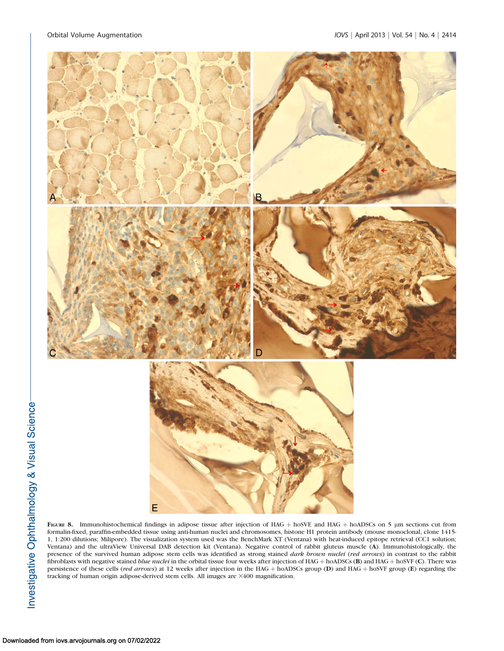

FIGURE 8. Immunohistochemical findings in adipose tissue after injection of HAG + hoSVF, and HAG + hoADSCs on 5 µm sections cut from formalin-fixed, paraffin-embedded tissue using anti-human nuclei and chromosomes, histone H1 protein antibody (mouse monoclonal, clone 1415- 1, 1:200 dilutions; Milipore). The visualization system used was the BenchMark XT (Ventana) with heat-induced epitope retrieval (CC1 solution; Ventana) and the ultraView Universal DAB detection kit (Ventana). Negative control of rabbit gluteus muscle (A). Immunohistologically, the presence of the survived human adipose stem cells was identified as strong stained dark brown nuclei (red arrows) in contrast to the rabbit fibroblasts with negative stained blue nuclei in the orbital tissue four weeks after injection of HAG + hoADSCs (B) and HAG + hoSVF (C). There was persistence of these cells (red arrows) at 12 weeks after injection in the HAG  $+$  hoADSCs group (D) and HAG  $+$  hoSVF group (E) regarding the tracking of human origin adipose-derived stem cells. All images are  $\times 400$  magnification.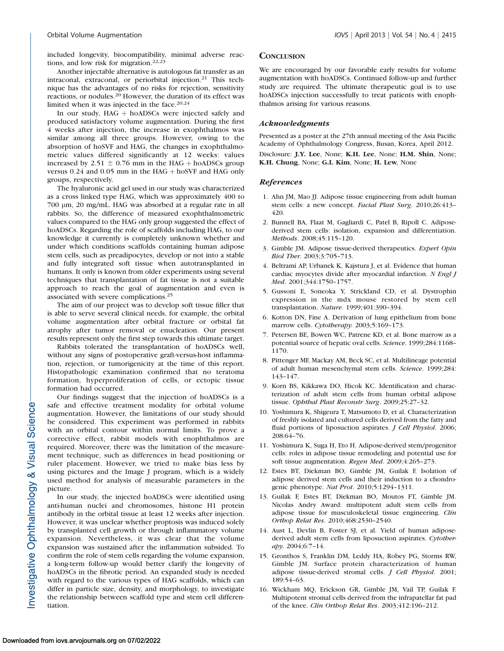included longevity, biocompatibility, minimal adverse reactions, and low risk for migration.<sup>22,23</sup>

Another injectable alternative is autologous fat transfer as an intraconal, extraconal, or periorbital injection.<sup>21</sup> This technique has the advantages of no risks for rejection, sensitivity reactions, or nodules.<sup>20</sup> However, the duration of its effect was limited when it was injected in the face. $20,24$ 

In our study,  $HAG +$  hoADSCs were injected safely and produced satisfactory volume augmentation. During the first 4 weeks after injection, the increase in exophthalmos was similar among all three groups. However, owing to the absorption of hoSVF and HAG, the changes in exophthalmometric values differed significantly at 12 weeks: values increased by 2.51  $\pm$  0.76 mm in the HAG + hoADSCs group versus  $0.24$  and  $0.05$  mm in the HAG + hoSVF and HAG only groups, respectively.

The hyaluronic acid gel used in our study was characterized as a cross linked type HAG, which was approximately 400 to 700 lm, 20 mg/mL. HAG was absorbed at a regular rate in all rabbits. So, the difference of measured exophthalmometric values compared to the HAG only group suggested the effect of hoADSCs. Regarding the role of scaffolds including HAG, to our knowledge it currently is completely unknown whether and under which conditions scaffolds containing human adipose stem cells, such as preadipocytes, develop or not into a stable and fully integrated soft tissue when autotransplanted in humans. It only is known from older experiments using several techniques that transplantation of fat tissue is not a suitable approach to reach the goal of augmentation and even is associated with severe complications.<sup>25</sup>

The aim of our project was to develop soft tissue filler that is able to serve several clinical needs, for example, the orbital volume augmentation after orbital fracture or orbital fat atrophy after tumor removal or enucleation. Our present results represent only the first step towards this ultimate target.

Rabbits tolerated the transplantation of hoADSCs well, without any signs of postoperative graft-versus-host inflammation, rejection, or tumorigenicity at the time of this report. Histopathologic examination confirmed that no teratoma formation, hyperproliferation of cells, or ectopic tissue formation had occurred.

Our findings suggest that the injection of hoADSCs is a safe and effective treatment modality for orbital volume augmentation. However, the limitations of our study should be considered. This experiment was performed in rabbits with an orbital contour within normal limits. To prove a corrective effect, rabbit models with enophthalmos are required. Moreover, there was the limitation of the measurement technique, such as differences in head positioning or ruler placement. However, we tried to make bias less by using pictures and the Image J program, which is a widely used method for analysis of measurable parameters in the picture.

In our study, the injected hoADSCs were identified using anti-human nuclei and chromosomes, histone H1 protein antibody in the orbital tissue at least 12 weeks after injection. However, it was unclear whether proptosis was induced solely by transplanted cell growth or through inflammatory volume expansion. Nevertheless, it was clear that the volume expansion was sustained after the inflammation subsided. To confirm the role of stem cells regarding the volume expansion, a long-term follow-up would better clarify the longevity of hoADSCs in the fibrotic period. An expanded study is needed with regard to the various types of HAG scaffolds, which can differ in particle size, density, and morphology, to investigate the relationship between scaffold type and stem cell differentiation.

#### **CONCLUSION**

We are encouraged by our favorable early results for volume augmentation with hoADSCs. Continued follow-up and further study are required. The ultimate therapeutic goal is to use hoADSCs injection successfully to treat patients with enophthalmos arising for various reasons.

#### Acknowledgments

Presented as a poster at the 27th annual meeting of the Asia Pacific Academy of Ophthalmology Congress, Busan, Korea, April 2012.

Disclosure: J.Y. Lee, None; K.H. Lee, None; H.M. Shin, None; K.H. Chung, None; G.I. Kim, None; H. Lew, None

#### References

- 1. Ahn JM, Mao JJ. Adipose tissue engineering from adult human stem cells: a new concept. Facial Plast Surg. 2010;26:413– 420.
- 2. Bunnell BA, Flaat M, Gagliardi C, Patel B, Ripoll C. Adiposederived stem cells: isolation, expansion and differentiation. Methods. 2008;45:115–120.
- 3. Gimble JM. Adipose tissue-derived therapeutics. Expert Opin Biol Ther. 2003;3:705–713.
- 4. Beltrami AP, Urbanek K, Kajstura J, et al. Evidence that human cardiac myocytes divide after myocardial infarction. N Engl J Med. 2001;344:1750–1757.
- 5. Gussoni E, Soneoka Y, Strickland CD, et al. Dystrophin expression in the mdx mouse restored by stem cell transplantation. Nature. 1999;401:390–394.
- 6. Kotton DN, Fine A. Derivation of lung epithelium from bone marrow cells. Cytotherapy. 2003;5:169-173.
- 7. Petersen BE, Bowen WC, Patrene KD, et al. Bone marrow as a potential source of hepatic oval cells. Science. 1999;284:1168– 1170.
- 8. Pittenger MF, Mackay AM, Beck SC, et al. Multilineage potential of adult human mesenchymal stem cells. Science. 1999;284: 143–147.
- 9. Korn BS, Kikkawa DO, Hicok KC. Identification and characterization of adult stem cells from human orbital adipose tissue. Ophthal Plast Reconstr Surg. 2009;25:27–32.
- 10. Yoshimura K, Shigeura T, Matsumoto D, et al. Characterization of freshly isolated and cultured cells derived from the fatty and fluid portions of liposuction aspirates. J Cell Physiol. 2006; 208:64–76.
- 11. Yoshimura K, Suga H, Eto H. Adipose-derived stem/progenitor cells: roles in adipose tissue remodeling and potential use for soft tissue augmentation. Regen Med. 2009;4:265–273.
- 12. Estes BT, Diekman BO, Gimble JM, Guilak F. Isolation of adipose derived stem cells and their induction to a chondrogenic phenotype. Nat Prot. 2010;5:1294–1311.
- 13. Guilak F, Estes BT, Diekman BO, Moutos FT, Gimble JM. Nicolas Andry Award: multipotent adult stem cells from adipose tissue for musculoskeletal tissue engineering. Clin Orthop Relat Res. 2010;468:2530–2540.
- 14. Aust L, Devlin B, Foster SJ, et al. Yield of human adiposederived adult stem cells from liposuction aspirates. Cytotherapy. 2004;6:7–14.
- 15. Gronthos S, Franklin DM, Leddy HA, Robey PG, Storms RW, Gimble JM. Surface protein characterization of human adipose tissue-derived stromal cells. J Cell Physiol. 2001; 189:54–63.
- 16. Wickham MQ, Erickson GR, Gimble JM, Vail TP, Guilak F. Multipotent stromal cells derived from the infrapatellar fat pad of the knee. Clin Orthop Relat Res. 2003;412:196–212.